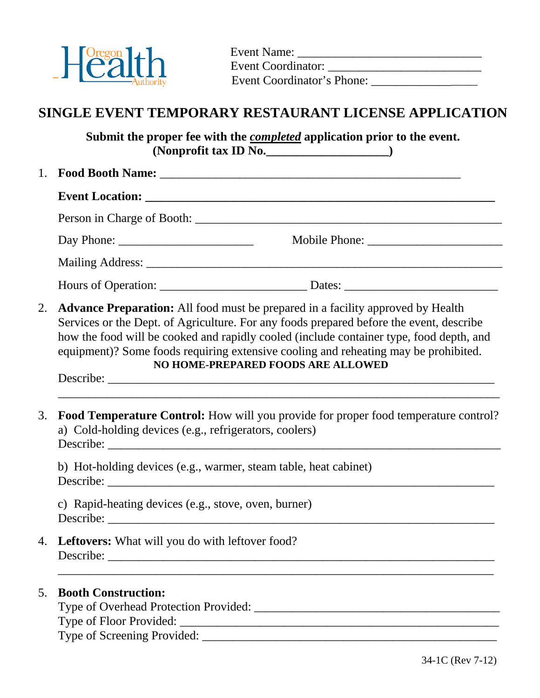

 Event Name: \_\_\_\_\_\_\_\_\_\_\_\_\_\_\_\_\_\_\_\_\_\_\_\_\_\_\_\_\_\_ Event Coordinator: \_\_\_\_\_\_\_\_\_\_\_\_\_\_\_\_\_\_\_\_\_\_\_\_\_ Event Coordinator's Phone: \_\_\_\_\_\_\_\_\_\_\_\_\_\_\_\_\_\_

# **SINGLE EVENT TEMPORARY RESTAURANT LICENSE APPLICATION**

**Submit the proper fee with the** *completed* **application prior to the event. (Nonprofit tax ID No.\_\_\_\_\_\_\_\_\_\_\_\_\_\_\_\_\_\_\_\_)** 

| 1. |                                                                                                                                                                                                                                                                                                                                                                                                    |  |  |  |  |
|----|----------------------------------------------------------------------------------------------------------------------------------------------------------------------------------------------------------------------------------------------------------------------------------------------------------------------------------------------------------------------------------------------------|--|--|--|--|
|    |                                                                                                                                                                                                                                                                                                                                                                                                    |  |  |  |  |
|    |                                                                                                                                                                                                                                                                                                                                                                                                    |  |  |  |  |
|    |                                                                                                                                                                                                                                                                                                                                                                                                    |  |  |  |  |
|    |                                                                                                                                                                                                                                                                                                                                                                                                    |  |  |  |  |
|    |                                                                                                                                                                                                                                                                                                                                                                                                    |  |  |  |  |
| 2. | Advance Preparation: All food must be prepared in a facility approved by Health<br>Services or the Dept. of Agriculture. For any foods prepared before the event, describe<br>how the food will be cooked and rapidly cooled (include container type, food depth, and<br>equipment)? Some foods requiring extensive cooling and reheating may be prohibited.<br>NO HOME-PREPARED FOODS ARE ALLOWED |  |  |  |  |
| 3. | Food Temperature Control: How will you provide for proper food temperature control?<br>a) Cold-holding devices (e.g., refrigerators, coolers)                                                                                                                                                                                                                                                      |  |  |  |  |
|    | b) Hot-holding devices (e.g., warmer, steam table, heat cabinet)                                                                                                                                                                                                                                                                                                                                   |  |  |  |  |
|    | c) Rapid-heating devices (e.g., stove, oven, burner)                                                                                                                                                                                                                                                                                                                                               |  |  |  |  |
|    | 4. Leftovers: What will you do with leftover food?                                                                                                                                                                                                                                                                                                                                                 |  |  |  |  |
| 5. | <b>Booth Construction:</b>                                                                                                                                                                                                                                                                                                                                                                         |  |  |  |  |

Type of Screening Provided: \_\_\_\_\_\_\_\_\_\_\_\_\_\_\_\_\_\_\_\_\_\_\_\_\_\_\_\_\_\_\_\_\_\_\_\_\_\_\_\_\_\_\_\_\_\_\_\_